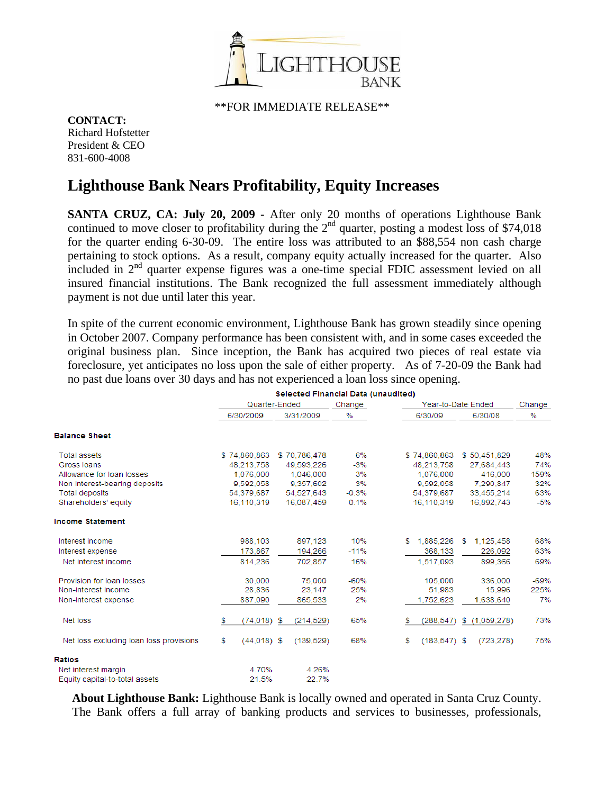

\*\*FOR IMMEDIATE RELEASE\*\*

**CONTACT:**  Richard Hofstetter President & CEO 831-600-4008

## **Lighthouse Bank Nears Profitability, Equity Increases**

**SANTA CRUZ, CA: July 20, 2009 -** After only 20 months of operations Lighthouse Bank continued to move closer to profitability during the  $2<sup>nd</sup>$  quarter, posting a modest loss of \$74,018 for the quarter ending 6-30-09. The entire loss was attributed to an \$88,554 non cash charge pertaining to stock options. As a result, company equity actually increased for the quarter. Also included in  $2<sup>nd</sup>$  quarter expense figures was a one-time special FDIC assessment levied on all insured financial institutions. The Bank recognized the full assessment immediately although payment is not due until later this year.

In spite of the current economic environment, Lighthouse Bank has grown steadily since opening in October 2007. Company performance has been consistent with, and in some cases exceeded the original business plan. Since inception, the Bank has acquired two pieces of real estate via foreclosure, yet anticipates no loss upon the sale of either property. As of 7-20-09 the Bank had no past due loans over 30 days and has not experienced a loan loss since opening.

|                                         | Selected Financial Data (unaudited) |              |         |                      |                 |        |
|-----------------------------------------|-------------------------------------|--------------|---------|----------------------|-----------------|--------|
|                                         | Quarter-Ended                       |              | Change  | Year-to-Date Ended   |                 | Change |
|                                         | 6/30/2009                           | 3/31/2009    | $\%$    | 6/30/09              | 6/30/08         | %      |
| <b>Balance Sheet</b>                    |                                     |              |         |                      |                 |        |
| <b>Total assets</b>                     | \$74,860,863                        | \$70.786.478 | 6%      | \$74,860,863         | \$50.451.829    | 48%    |
| Gross Ioans                             | 48.213.758                          | 49.593.226   | $-3%$   | 48.213.758           | 27.684.443      | 74%    |
| Allowance for loan losses               | 1.076.000                           | 1.046.000    | 3%      | 1.076.000            | 416.000         | 159%   |
| Non interest-bearing deposits           | 9.592.058                           | 9.357.602    | 3%      | 9.592.058            | 7.290.847       | 32%    |
| Total deposits                          | 54.379.687                          | 54.527.643   | $-0.3%$ | 54.379.687           | 33.455.214      | 63%    |
| Shareholders' equity                    | 16.110.319                          | 16.087.459   | 0.1%    | 16.110.319           | 16.892.743      | $-5%$  |
| <b>Income Statement</b>                 |                                     |              |         |                      |                 |        |
| Interest income                         | 988.103                             | 897.123      | 10%     | 1.885.226<br>s.      | 1.125.458<br>-S | 68%    |
| Interest expense                        | 173.867                             | 194,266      | $-11%$  | 368,133              | 226.092         | 63%    |
| Net interest income                     | 814.236                             | 702.857      | 16%     | 1.517.093            | 899.366         | 69%    |
| Provision for loan losses               | 30,000                              | 75,000       | $-60%$  | 105,000              | 336,000         | $-69%$ |
| Non-interest income                     | 28.836                              | 23.147       | 25%     | 51.983               | 15,996          | 225%   |
| Non-interest expense                    | 887.090                             | 865,533      | 2%      | 1.752.623            | 1.638.640       | 7%     |
| Net loss                                | s<br>$(74, 018)$ \$                 | (214, 529)   | 65%     | S.<br>(288, 547)     | \$(1,059,278)   | 73%    |
| Net loss excluding loan loss provisions | s<br>$(44.018)$ \$                  | (139.529)    | 68%     | $(183, 547)$ \$<br>s | (723, 278)      | 75%    |
| <b>Ratios</b>                           |                                     |              |         |                      |                 |        |
| Net interest margin                     | 4.70%                               | 4.26%        |         |                      |                 |        |
| Equity capital-to-total assets          | 21.5%                               | 22.7%        |         |                      |                 |        |

**About Lighthouse Bank:** Lighthouse Bank is locally owned and operated in Santa Cruz County. The Bank offers a full array of banking products and services to businesses, professionals,